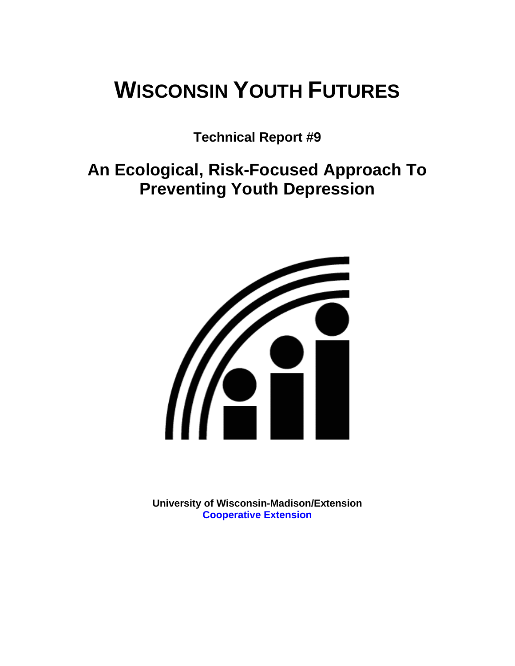# **WISCONSIN YOUTH FUTURES**

**Technical Report #9** 

**An Ecological, Risk-Focused Approach To Preventing Youth Depression** 



**University of Wisconsin-Madison/Extension [Cooperative Extension](http://www1.uwex.edu/ces/index.cfm)**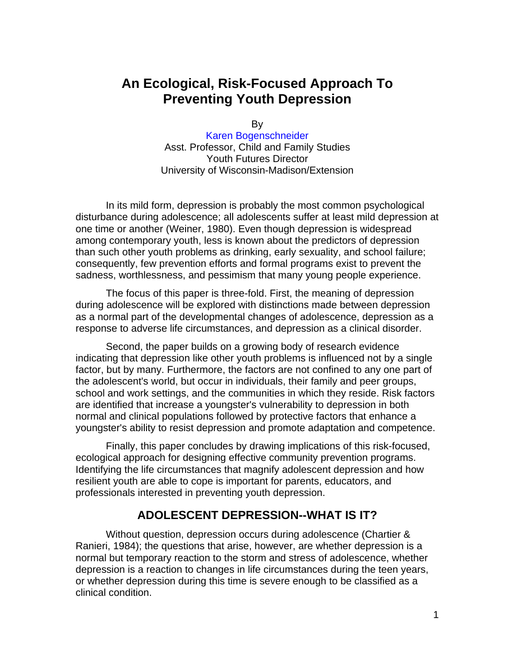# **An Ecological, Risk-Focused Approach To Preventing Youth Depression**

By

[Karen Bogenschneider](http://www.uwex.edu/ces/flp/specialists/bogensch.html) Asst. Professor, Child and Family Studies Youth Futures Director University of Wisconsin-Madison/Extension

In its mild form, depression is probably the most common psychological disturbance during adolescence; all adolescents suffer at least mild depression at one time or another (Weiner, 1980). Even though depression is widespread among contemporary youth, less is known about the predictors of depression than such other youth problems as drinking, early sexuality, and school failure; consequently, few prevention efforts and formal programs exist to prevent the sadness, worthlessness, and pessimism that many young people experience.

The focus of this paper is three-fold. First, the meaning of depression during adolescence will be explored with distinctions made between depression as a normal part of the developmental changes of adolescence, depression as a response to adverse life circumstances, and depression as a clinical disorder.

Second, the paper builds on a growing body of research evidence indicating that depression like other youth problems is influenced not by a single factor, but by many. Furthermore, the factors are not confined to any one part of the adolescent's world, but occur in individuals, their family and peer groups, school and work settings, and the communities in which they reside. Risk factors are identified that increase a youngster's vulnerability to depression in both normal and clinical populations followed by protective factors that enhance a youngster's ability to resist depression and promote adaptation and competence.

Finally, this paper concludes by drawing implications of this risk-focused, ecological approach for designing effective community prevention programs. Identifying the life circumstances that magnify adolescent depression and how resilient youth are able to cope is important for parents, educators, and professionals interested in preventing youth depression.

## **ADOLESCENT DEPRESSION--WHAT IS IT?**

Without question, depression occurs during adolescence (Chartier & Ranieri, 1984); the questions that arise, however, are whether depression is a normal but temporary reaction to the storm and stress of adolescence, whether depression is a reaction to changes in life circumstances during the teen years, or whether depression during this time is severe enough to be classified as a clinical condition.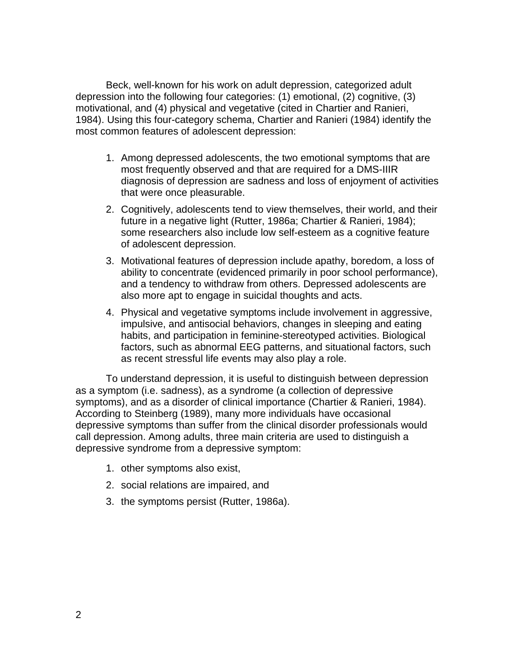Beck, well-known for his work on adult depression, categorized adult depression into the following four categories: (1) emotional, (2) cognitive, (3) motivational, and (4) physical and vegetative (cited in Chartier and Ranieri, 1984). Using this four-category schema, Chartier and Ranieri (1984) identify the most common features of adolescent depression:

- 1. Among depressed adolescents, the two emotional symptoms that are most frequently observed and that are required for a DMS-IIIR diagnosis of depression are sadness and loss of enjoyment of activities that were once pleasurable.
- 2. Cognitively, adolescents tend to view themselves, their world, and their future in a negative light (Rutter, 1986a; Chartier & Ranieri, 1984); some researchers also include low self-esteem as a cognitive feature of adolescent depression.
- 3. Motivational features of depression include apathy, boredom, a loss of ability to concentrate (evidenced primarily in poor school performance), and a tendency to withdraw from others. Depressed adolescents are also more apt to engage in suicidal thoughts and acts.
- 4. Physical and vegetative symptoms include involvement in aggressive, impulsive, and antisocial behaviors, changes in sleeping and eating habits, and participation in feminine-stereotyped activities. Biological factors, such as abnormal EEG patterns, and situational factors, such as recent stressful life events may also play a role.

To understand depression, it is useful to distinguish between depression as a symptom (i.e. sadness), as a syndrome (a collection of depressive symptoms), and as a disorder of clinical importance (Chartier & Ranieri, 1984). According to Steinberg (1989), many more individuals have occasional depressive symptoms than suffer from the clinical disorder professionals would call depression. Among adults, three main criteria are used to distinguish a depressive syndrome from a depressive symptom:

- 1. other symptoms also exist,
- 2. social relations are impaired, and
- 3. the symptoms persist (Rutter, 1986a).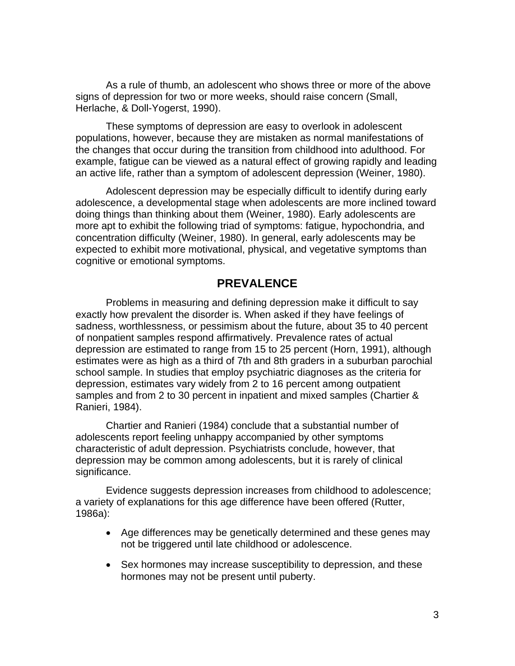As a rule of thumb, an adolescent who shows three or more of the above signs of depression for two or more weeks, should raise concern (Small, Herlache, & Doll-Yogerst, 1990).

These symptoms of depression are easy to overlook in adolescent populations, however, because they are mistaken as normal manifestations of the changes that occur during the transition from childhood into adulthood. For example, fatigue can be viewed as a natural effect of growing rapidly and leading an active life, rather than a symptom of adolescent depression (Weiner, 1980).

Adolescent depression may be especially difficult to identify during early adolescence, a developmental stage when adolescents are more inclined toward doing things than thinking about them (Weiner, 1980). Early adolescents are more apt to exhibit the following triad of symptoms: fatigue, hypochondria, and concentration difficulty (Weiner, 1980). In general, early adolescents may be expected to exhibit more motivational, physical, and vegetative symptoms than cognitive or emotional symptoms.

## **PREVALENCE**

Problems in measuring and defining depression make it difficult to say exactly how prevalent the disorder is. When asked if they have feelings of sadness, worthlessness, or pessimism about the future, about 35 to 40 percent of nonpatient samples respond affirmatively. Prevalence rates of actual depression are estimated to range from 15 to 25 percent (Horn, 1991), although estimates were as high as a third of 7th and 8th graders in a suburban parochial school sample. In studies that employ psychiatric diagnoses as the criteria for depression, estimates vary widely from 2 to 16 percent among outpatient samples and from 2 to 30 percent in inpatient and mixed samples (Chartier & Ranieri, 1984).

Chartier and Ranieri (1984) conclude that a substantial number of adolescents report feeling unhappy accompanied by other symptoms characteristic of adult depression. Psychiatrists conclude, however, that depression may be common among adolescents, but it is rarely of clinical significance.

Evidence suggests depression increases from childhood to adolescence; a variety of explanations for this age difference have been offered (Rutter, 1986a):

- Age differences may be genetically determined and these genes may not be triggered until late childhood or adolescence.
- Sex hormones may increase susceptibility to depression, and these hormones may not be present until puberty.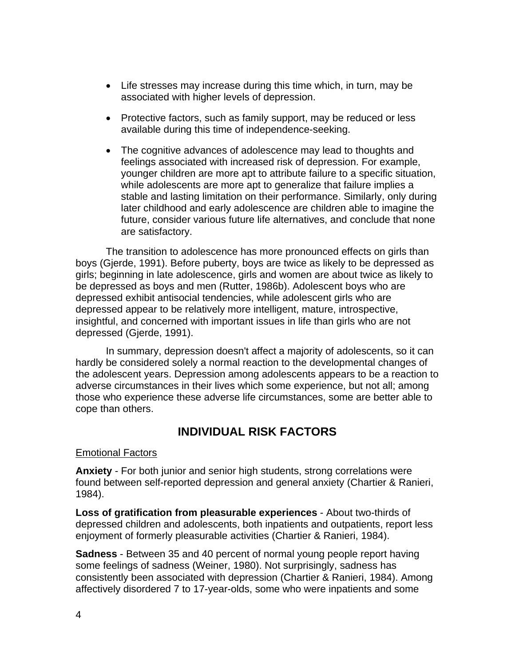- Life stresses may increase during this time which, in turn, may be associated with higher levels of depression.
- Protective factors, such as family support, may be reduced or less available during this time of independence-seeking.
- The cognitive advances of adolescence may lead to thoughts and feelings associated with increased risk of depression. For example, younger children are more apt to attribute failure to a specific situation, while adolescents are more apt to generalize that failure implies a stable and lasting limitation on their performance. Similarly, only during later childhood and early adolescence are children able to imagine the future, consider various future life alternatives, and conclude that none are satisfactory.

The transition to adolescence has more pronounced effects on girls than boys (Gjerde, 1991). Before puberty, boys are twice as likely to be depressed as girls; beginning in late adolescence, girls and women are about twice as likely to be depressed as boys and men (Rutter, 1986b). Adolescent boys who are depressed exhibit antisocial tendencies, while adolescent girls who are depressed appear to be relatively more intelligent, mature, introspective, insightful, and concerned with important issues in life than girls who are not depressed (Gjerde, 1991).

In summary, depression doesn't affect a majority of adolescents, so it can hardly be considered solely a normal reaction to the developmental changes of the adolescent years. Depression among adolescents appears to be a reaction to adverse circumstances in their lives which some experience, but not all; among those who experience these adverse life circumstances, some are better able to cope than others.

## **INDIVIDUAL RISK FACTORS**

#### Emotional Factors

**Anxiety** - For both junior and senior high students, strong correlations were found between self-reported depression and general anxiety (Chartier & Ranieri, 1984).

**Loss of gratification from pleasurable experiences** - About two-thirds of depressed children and adolescents, both inpatients and outpatients, report less enjoyment of formerly pleasurable activities (Chartier & Ranieri, 1984).

**Sadness** - Between 35 and 40 percent of normal young people report having some feelings of sadness (Weiner, 1980). Not surprisingly, sadness has consistently been associated with depression (Chartier & Ranieri, 1984). Among affectively disordered 7 to 17-year-olds, some who were inpatients and some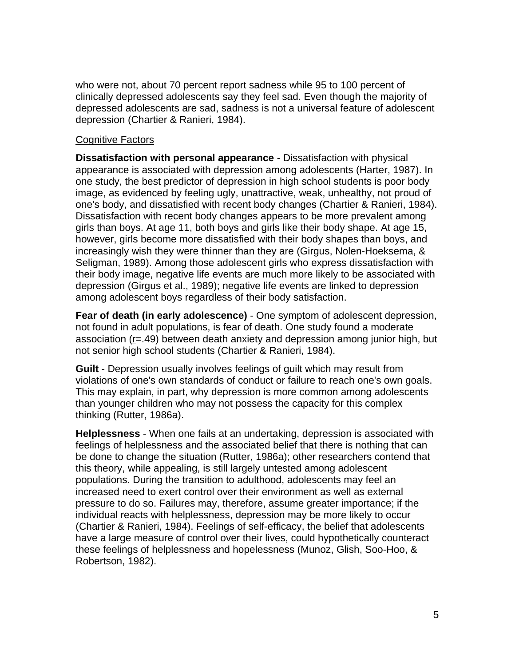who were not, about 70 percent report sadness while 95 to 100 percent of clinically depressed adolescents say they feel sad. Even though the majority of depressed adolescents are sad, sadness is not a universal feature of adolescent depression (Chartier & Ranieri, 1984).

#### Cognitive Factors

**Dissatisfaction with personal appearance** - Dissatisfaction with physical appearance is associated with depression among adolescents (Harter, 1987). In one study, the best predictor of depression in high school students is poor body image, as evidenced by feeling ugly, unattractive, weak, unhealthy, not proud of one's body, and dissatisfied with recent body changes (Chartier & Ranieri, 1984). Dissatisfaction with recent body changes appears to be more prevalent among girls than boys. At age 11, both boys and girls like their body shape. At age 15, however, girls become more dissatisfied with their body shapes than boys, and increasingly wish they were thinner than they are (Girgus, Nolen-Hoeksema, & Seligman, 1989). Among those adolescent girls who express dissatisfaction with their body image, negative life events are much more likely to be associated with depression (Girgus et al., 1989); negative life events are linked to depression among adolescent boys regardless of their body satisfaction.

**Fear of death (in early adolescence)** - One symptom of adolescent depression, not found in adult populations, is fear of death. One study found a moderate association (r=.49) between death anxiety and depression among junior high, but not senior high school students (Chartier & Ranieri, 1984).

**Guilt** - Depression usually involves feelings of guilt which may result from violations of one's own standards of conduct or failure to reach one's own goals. This may explain, in part, why depression is more common among adolescents than younger children who may not possess the capacity for this complex thinking (Rutter, 1986a).

**Helplessness** - When one fails at an undertaking, depression is associated with feelings of helplessness and the associated belief that there is nothing that can be done to change the situation (Rutter, 1986a); other researchers contend that this theory, while appealing, is still largely untested among adolescent populations. During the transition to adulthood, adolescents may feel an increased need to exert control over their environment as well as external pressure to do so. Failures may, therefore, assume greater importance; if the individual reacts with helplessness, depression may be more likely to occur (Chartier & Ranieri, 1984). Feelings of self-efficacy, the belief that adolescents have a large measure of control over their lives, could hypothetically counteract these feelings of helplessness and hopelessness (Munoz, Glish, Soo-Hoo, & Robertson, 1982).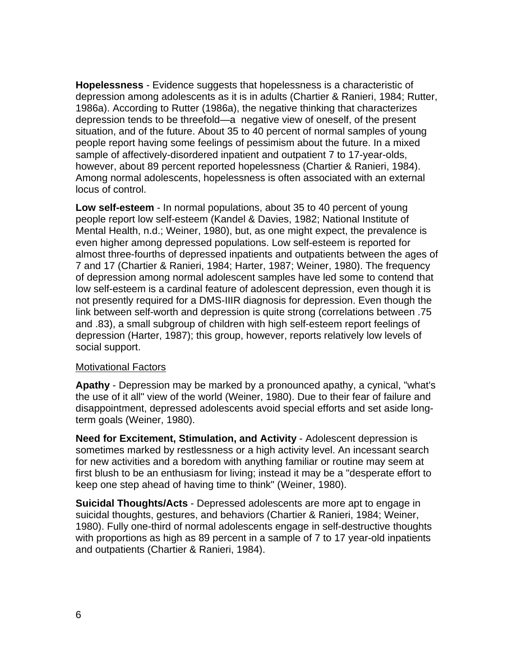**Hopelessness** - Evidence suggests that hopelessness is a characteristic of depression among adolescents as it is in adults (Chartier & Ranieri, 1984; Rutter, 1986a). According to Rutter (1986a), the negative thinking that characterizes depression tends to be threefold—a negative view of oneself, of the present situation, and of the future. About 35 to 40 percent of normal samples of young people report having some feelings of pessimism about the future. In a mixed sample of affectively-disordered inpatient and outpatient 7 to 17-year-olds, however, about 89 percent reported hopelessness (Chartier & Ranieri, 1984). Among normal adolescents, hopelessness is often associated with an external locus of control.

**Low self-esteem** - In normal populations, about 35 to 40 percent of young people report low self-esteem (Kandel & Davies, 1982; National Institute of Mental Health, n.d.; Weiner, 1980), but, as one might expect, the prevalence is even higher among depressed populations. Low self-esteem is reported for almost three-fourths of depressed inpatients and outpatients between the ages of 7 and 17 (Chartier & Ranieri, 1984; Harter, 1987; Weiner, 1980). The frequency of depression among normal adolescent samples have led some to contend that low self-esteem is a cardinal feature of adolescent depression, even though it is not presently required for a DMS-IIIR diagnosis for depression. Even though the link between self-worth and depression is quite strong (correlations between .75 and .83), a small subgroup of children with high self-esteem report feelings of depression (Harter, 1987); this group, however, reports relatively low levels of social support.

#### Motivational Factors

**Apathy** - Depression may be marked by a pronounced apathy, a cynical, "what's the use of it all" view of the world (Weiner, 1980). Due to their fear of failure and disappointment, depressed adolescents avoid special efforts and set aside longterm goals (Weiner, 1980).

**Need for Excitement, Stimulation, and Activity** - Adolescent depression is sometimes marked by restlessness or a high activity level. An incessant search for new activities and a boredom with anything familiar or routine may seem at first blush to be an enthusiasm for living; instead it may be a "desperate effort to keep one step ahead of having time to think" (Weiner, 1980).

**Suicidal Thoughts/Acts** - Depressed adolescents are more apt to engage in suicidal thoughts, gestures, and behaviors (Chartier & Ranieri, 1984; Weiner, 1980). Fully one-third of normal adolescents engage in self-destructive thoughts with proportions as high as 89 percent in a sample of 7 to 17 year-old inpatients and outpatients (Chartier & Ranieri, 1984).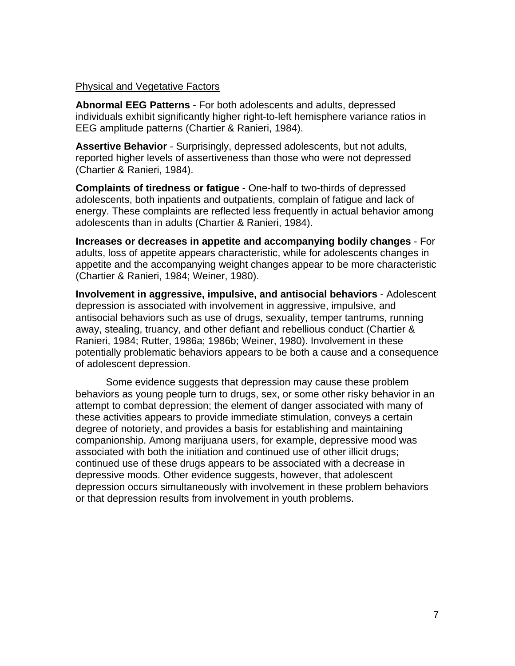#### Physical and Vegetative Factors

**Abnormal EEG Patterns** - For both adolescents and adults, depressed individuals exhibit significantly higher right-to-left hemisphere variance ratios in EEG amplitude patterns (Chartier & Ranieri, 1984).

**Assertive Behavior** - Surprisingly, depressed adolescents, but not adults, reported higher levels of assertiveness than those who were not depressed (Chartier & Ranieri, 1984).

**Complaints of tiredness or fatigue** - One-half to two-thirds of depressed adolescents, both inpatients and outpatients, complain of fatigue and lack of energy. These complaints are reflected less frequently in actual behavior among adolescents than in adults (Chartier & Ranieri, 1984).

**Increases or decreases in appetite and accompanying bodily changes** - For adults, loss of appetite appears characteristic, while for adolescents changes in appetite and the accompanying weight changes appear to be more characteristic (Chartier & Ranieri, 1984; Weiner, 1980).

**Involvement in aggressive, impulsive, and antisocial behaviors** - Adolescent depression is associated with involvement in aggressive, impulsive, and antisocial behaviors such as use of drugs, sexuality, temper tantrums, running away, stealing, truancy, and other defiant and rebellious conduct (Chartier & Ranieri, 1984; Rutter, 1986a; 1986b; Weiner, 1980). Involvement in these potentially problematic behaviors appears to be both a cause and a consequence of adolescent depression.

Some evidence suggests that depression may cause these problem behaviors as young people turn to drugs, sex, or some other risky behavior in an attempt to combat depression; the element of danger associated with many of these activities appears to provide immediate stimulation, conveys a certain degree of notoriety, and provides a basis for establishing and maintaining companionship. Among marijuana users, for example, depressive mood was associated with both the initiation and continued use of other illicit drugs; continued use of these drugs appears to be associated with a decrease in depressive moods. Other evidence suggests, however, that adolescent depression occurs simultaneously with involvement in these problem behaviors or that depression results from involvement in youth problems.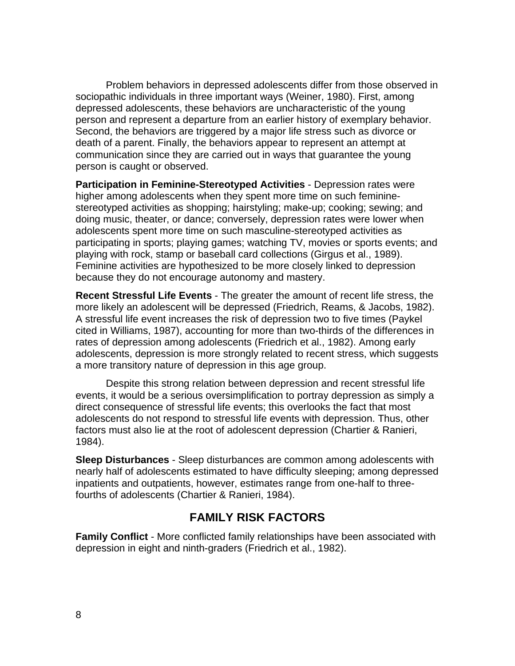Problem behaviors in depressed adolescents differ from those observed in sociopathic individuals in three important ways (Weiner, 1980). First, among depressed adolescents, these behaviors are uncharacteristic of the young person and represent a departure from an earlier history of exemplary behavior. Second, the behaviors are triggered by a major life stress such as divorce or death of a parent. Finally, the behaviors appear to represent an attempt at communication since they are carried out in ways that guarantee the young person is caught or observed.

**Participation in Feminine-Stereotyped Activities** - Depression rates were higher among adolescents when they spent more time on such femininestereotyped activities as shopping; hairstyling; make-up; cooking; sewing; and doing music, theater, or dance; conversely, depression rates were lower when adolescents spent more time on such masculine-stereotyped activities as participating in sports; playing games; watching TV, movies or sports events; and playing with rock, stamp or baseball card collections (Girgus et al., 1989). Feminine activities are hypothesized to be more closely linked to depression because they do not encourage autonomy and mastery.

**Recent Stressful Life Events** - The greater the amount of recent life stress, the more likely an adolescent will be depressed (Friedrich, Reams, & Jacobs, 1982). A stressful life event increases the risk of depression two to five times (Paykel cited in Williams, 1987), accounting for more than two-thirds of the differences in rates of depression among adolescents (Friedrich et al., 1982). Among early adolescents, depression is more strongly related to recent stress, which suggests a more transitory nature of depression in this age group.

Despite this strong relation between depression and recent stressful life events, it would be a serious oversimplification to portray depression as simply a direct consequence of stressful life events; this overlooks the fact that most adolescents do not respond to stressful life events with depression. Thus, other factors must also lie at the root of adolescent depression (Chartier & Ranieri, 1984).

**Sleep Disturbances** - Sleep disturbances are common among adolescents with nearly half of adolescents estimated to have difficulty sleeping; among depressed inpatients and outpatients, however, estimates range from one-half to threefourths of adolescents (Chartier & Ranieri, 1984).

## **FAMILY RISK FACTORS**

**Family Conflict** - More conflicted family relationships have been associated with depression in eight and ninth-graders (Friedrich et al., 1982).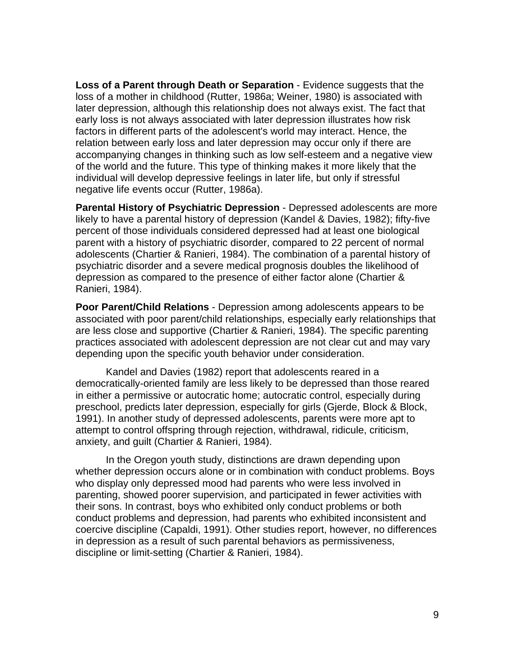**Loss of a Parent through Death or Separation** - Evidence suggests that the loss of a mother in childhood (Rutter, 1986a; Weiner, 1980) is associated with later depression, although this relationship does not always exist. The fact that early loss is not always associated with later depression illustrates how risk factors in different parts of the adolescent's world may interact. Hence, the relation between early loss and later depression may occur only if there are accompanying changes in thinking such as low self-esteem and a negative view of the world and the future. This type of thinking makes it more likely that the individual will develop depressive feelings in later life, but only if stressful negative life events occur (Rutter, 1986a).

**Parental History of Psychiatric Depression** - Depressed adolescents are more likely to have a parental history of depression (Kandel & Davies, 1982); fifty-five percent of those individuals considered depressed had at least one biological parent with a history of psychiatric disorder, compared to 22 percent of normal adolescents (Chartier & Ranieri, 1984). The combination of a parental history of psychiatric disorder and a severe medical prognosis doubles the likelihood of depression as compared to the presence of either factor alone (Chartier & Ranieri, 1984).

**Poor Parent/Child Relations** - Depression among adolescents appears to be associated with poor parent/child relationships, especially early relationships that are less close and supportive (Chartier & Ranieri, 1984). The specific parenting practices associated with adolescent depression are not clear cut and may vary depending upon the specific youth behavior under consideration.

Kandel and Davies (1982) report that adolescents reared in a democratically-oriented family are less likely to be depressed than those reared in either a permissive or autocratic home; autocratic control, especially during preschool, predicts later depression, especially for girls (Gjerde, Block & Block, 1991). In another study of depressed adolescents, parents were more apt to attempt to control offspring through rejection, withdrawal, ridicule, criticism, anxiety, and guilt (Chartier & Ranieri, 1984).

In the Oregon youth study, distinctions are drawn depending upon whether depression occurs alone or in combination with conduct problems. Boys who display only depressed mood had parents who were less involved in parenting, showed poorer supervision, and participated in fewer activities with their sons. In contrast, boys who exhibited only conduct problems or both conduct problems and depression, had parents who exhibited inconsistent and coercive discipline (Capaldi, 1991). Other studies report, however, no differences in depression as a result of such parental behaviors as permissiveness, discipline or limit-setting (Chartier & Ranieri, 1984).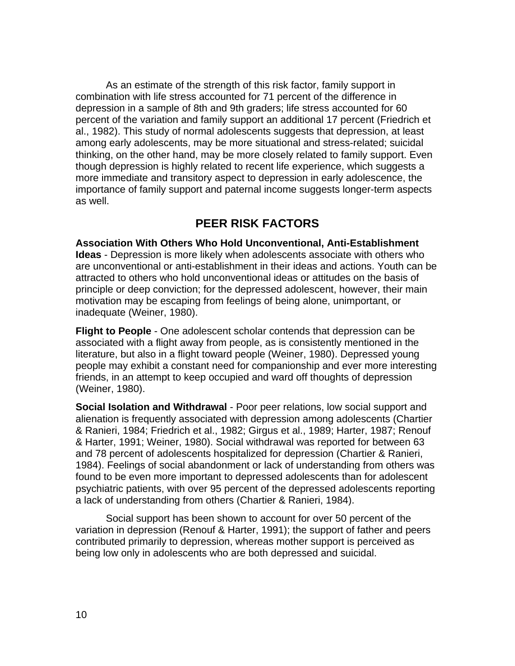As an estimate of the strength of this risk factor, family support in combination with life stress accounted for 71 percent of the difference in depression in a sample of 8th and 9th graders; life stress accounted for 60 percent of the variation and family support an additional 17 percent (Friedrich et al., 1982). This study of normal adolescents suggests that depression, at least among early adolescents, may be more situational and stress-related; suicidal thinking, on the other hand, may be more closely related to family support. Even though depression is highly related to recent life experience, which suggests a more immediate and transitory aspect to depression in early adolescence, the importance of family support and paternal income suggests longer-term aspects as well.

## **PEER RISK FACTORS**

**Association With Others Who Hold Unconventional, Anti-Establishment Ideas** - Depression is more likely when adolescents associate with others who are unconventional or anti-establishment in their ideas and actions. Youth can be attracted to others who hold unconventional ideas or attitudes on the basis of principle or deep conviction; for the depressed adolescent, however, their main motivation may be escaping from feelings of being alone, unimportant, or inadequate (Weiner, 1980).

**Flight to People** - One adolescent scholar contends that depression can be associated with a flight away from people, as is consistently mentioned in the literature, but also in a flight toward people (Weiner, 1980). Depressed young people may exhibit a constant need for companionship and ever more interesting friends, in an attempt to keep occupied and ward off thoughts of depression (Weiner, 1980).

**Social Isolation and Withdrawal** - Poor peer relations, low social support and alienation is frequently associated with depression among adolescents (Chartier & Ranieri, 1984; Friedrich et al., 1982; Girgus et al., 1989; Harter, 1987; Renouf & Harter, 1991; Weiner, 1980). Social withdrawal was reported for between 63 and 78 percent of adolescents hospitalized for depression (Chartier & Ranieri, 1984). Feelings of social abandonment or lack of understanding from others was found to be even more important to depressed adolescents than for adolescent psychiatric patients, with over 95 percent of the depressed adolescents reporting a lack of understanding from others (Chartier & Ranieri, 1984).

Social support has been shown to account for over 50 percent of the variation in depression (Renouf & Harter, 1991); the support of father and peers contributed primarily to depression, whereas mother support is perceived as being low only in adolescents who are both depressed and suicidal.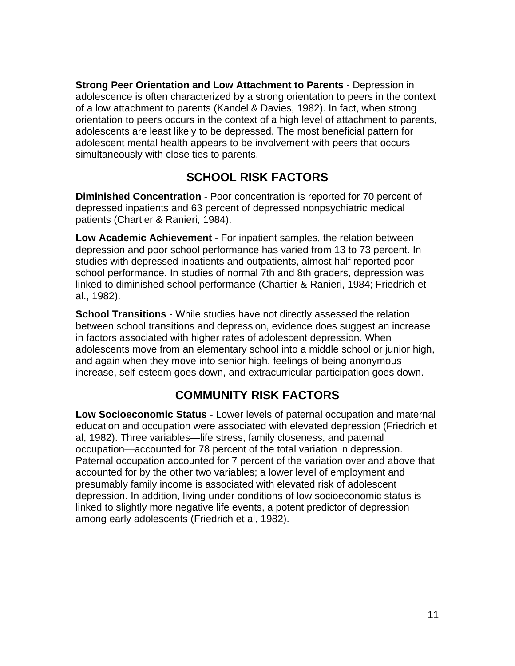**Strong Peer Orientation and Low Attachment to Parents** - Depression in adolescence is often characterized by a strong orientation to peers in the context of a low attachment to parents (Kandel & Davies, 1982). In fact, when strong orientation to peers occurs in the context of a high level of attachment to parents, adolescents are least likely to be depressed. The most beneficial pattern for adolescent mental health appears to be involvement with peers that occurs simultaneously with close ties to parents.

# **SCHOOL RISK FACTORS**

**Diminished Concentration** - Poor concentration is reported for 70 percent of depressed inpatients and 63 percent of depressed nonpsychiatric medical patients (Chartier & Ranieri, 1984).

**Low Academic Achievement** - For inpatient samples, the relation between depression and poor school performance has varied from 13 to 73 percent. In studies with depressed inpatients and outpatients, almost half reported poor school performance. In studies of normal 7th and 8th graders, depression was linked to diminished school performance (Chartier & Ranieri, 1984; Friedrich et al., 1982).

**School Transitions** - While studies have not directly assessed the relation between school transitions and depression, evidence does suggest an increase in factors associated with higher rates of adolescent depression. When adolescents move from an elementary school into a middle school or junior high, and again when they move into senior high, feelings of being anonymous increase, self-esteem goes down, and extracurricular participation goes down.

# **COMMUNITY RISK FACTORS**

**Low Socioeconomic Status** - Lower levels of paternal occupation and maternal education and occupation were associated with elevated depression (Friedrich et al, 1982). Three variables—life stress, family closeness, and paternal occupation—accounted for 78 percent of the total variation in depression. Paternal occupation accounted for 7 percent of the variation over and above that accounted for by the other two variables; a lower level of employment and presumably family income is associated with elevated risk of adolescent depression. In addition, living under conditions of low socioeconomic status is linked to slightly more negative life events, a potent predictor of depression among early adolescents (Friedrich et al, 1982).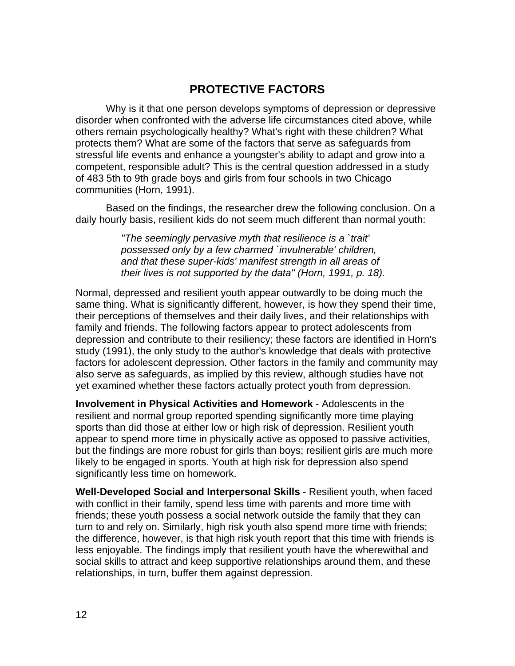# **PROTECTIVE FACTORS**

Why is it that one person develops symptoms of depression or depressive disorder when confronted with the adverse life circumstances cited above, while others remain psychologically healthy? What's right with these children? What protects them? What are some of the factors that serve as safeguards from stressful life events and enhance a youngster's ability to adapt and grow into a competent, responsible adult? This is the central question addressed in a study of 483 5th to 9th grade boys and girls from four schools in two Chicago communities (Horn, 1991).

Based on the findings, the researcher drew the following conclusion. On a daily hourly basis, resilient kids do not seem much different than normal youth:

> *"The seemingly pervasive myth that resilience is a `trait' possessed only by a few charmed `invulnerable' children, and that these super-kids' manifest strength in all areas of their lives is not supported by the data" (Horn, 1991, p. 18).*

Normal, depressed and resilient youth appear outwardly to be doing much the same thing. What is significantly different, however, is how they spend their time, their perceptions of themselves and their daily lives, and their relationships with family and friends. The following factors appear to protect adolescents from depression and contribute to their resiliency; these factors are identified in Horn's study (1991), the only study to the author's knowledge that deals with protective factors for adolescent depression. Other factors in the family and community may also serve as safeguards, as implied by this review, although studies have not yet examined whether these factors actually protect youth from depression.

**Involvement in Physical Activities and Homework** - Adolescents in the resilient and normal group reported spending significantly more time playing sports than did those at either low or high risk of depression. Resilient youth appear to spend more time in physically active as opposed to passive activities, but the findings are more robust for girls than boys; resilient girls are much more likely to be engaged in sports. Youth at high risk for depression also spend significantly less time on homework.

**Well-Developed Social and Interpersonal Skills** - Resilient youth, when faced with conflict in their family, spend less time with parents and more time with friends; these youth possess a social network outside the family that they can turn to and rely on. Similarly, high risk youth also spend more time with friends; the difference, however, is that high risk youth report that this time with friends is less enjoyable. The findings imply that resilient youth have the wherewithal and social skills to attract and keep supportive relationships around them, and these relationships, in turn, buffer them against depression.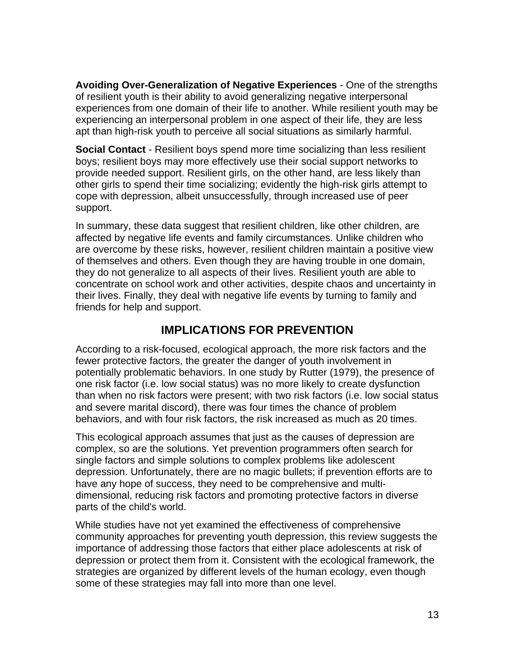**Avoiding Over-Generalization of Negative Experiences** - One of the strengths of resilient youth is their ability to avoid generalizing negative interpersonal experiences from one domain of their life to another. While resilient youth may be experiencing an interpersonal problem in one aspect of their life, they are less apt than high-risk youth to perceive all social situations as similarly harmful.

**Social Contact** - Resilient boys spend more time socializing than less resilient boys; resilient boys may more effectively use their social support networks to provide needed support. Resilient girls, on the other hand, are less likely than other girls to spend their time socializing; evidently the high-risk girls attempt to cope with depression, albeit unsuccessfully, through increased use of peer support.

In summary, these data suggest that resilient children, like other children, are affected by negative life events and family circumstances. Unlike children who are overcome by these risks, however, resilient children maintain a positive view of themselves and others. Even though they are having trouble in one domain, they do not generalize to all aspects of their lives. Resilient youth are able to concentrate on school work and other activities, despite chaos and uncertainty in their lives. Finally, they deal with negative life events by turning to family and friends for help and support.

# **IMPLICATIONS FOR PREVENTION**

According to a risk-focused, ecological approach, the more risk factors and the fewer protective factors, the greater the danger of youth involvement in potentially problematic behaviors. In one study by Rutter (1979), the presence of one risk factor (i.e. low social status) was no more likely to create dysfunction than when no risk factors were present; with two risk factors (i.e. low social status and severe marital discord), there was four times the chance of problem behaviors, and with four risk factors, the risk increased as much as 20 times.

This ecological approach assumes that just as the causes of depression are complex, so are the solutions. Yet prevention programmers often search for single factors and simple solutions to complex problems like adolescent depression. Unfortunately, there are no magic bullets; if prevention efforts are to have any hope of success, they need to be comprehensive and multidimensional, reducing risk factors and promoting protective factors in diverse parts of the child's world.

While studies have not yet examined the effectiveness of comprehensive community approaches for preventing youth depression, this review suggests the importance of addressing those factors that either place adolescents at risk of depression or protect them from it. Consistent with the ecological framework, the strategies are organized by different levels of the human ecology, even though some of these strategies may fall into more than one level.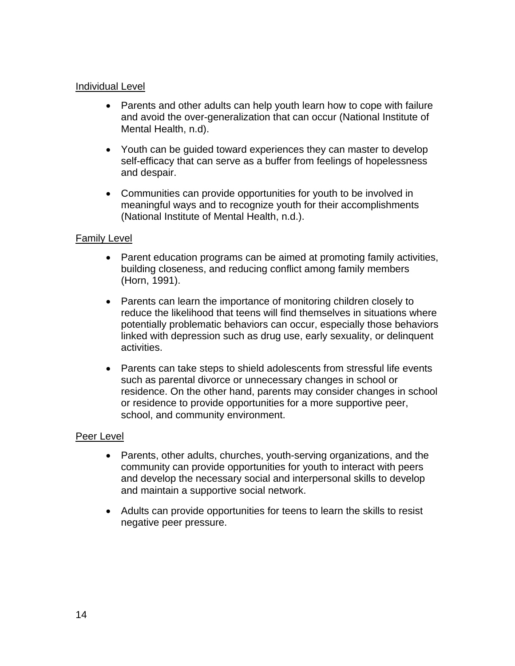#### Individual Level

- Parents and other adults can help youth learn how to cope with failure and avoid the over-generalization that can occur (National Institute of Mental Health, n.d).
- Youth can be guided toward experiences they can master to develop self-efficacy that can serve as a buffer from feelings of hopelessness and despair.
- Communities can provide opportunities for youth to be involved in meaningful ways and to recognize youth for their accomplishments (National Institute of Mental Health, n.d.).

#### Family Level

- Parent education programs can be aimed at promoting family activities, building closeness, and reducing conflict among family members (Horn, 1991).
- Parents can learn the importance of monitoring children closely to reduce the likelihood that teens will find themselves in situations where potentially problematic behaviors can occur, especially those behaviors linked with depression such as drug use, early sexuality, or delinquent activities.
- Parents can take steps to shield adolescents from stressful life events such as parental divorce or unnecessary changes in school or residence. On the other hand, parents may consider changes in school or residence to provide opportunities for a more supportive peer, school, and community environment.

#### Peer Level

- Parents, other adults, churches, youth-serving organizations, and the community can provide opportunities for youth to interact with peers and develop the necessary social and interpersonal skills to develop and maintain a supportive social network.
- Adults can provide opportunities for teens to learn the skills to resist negative peer pressure.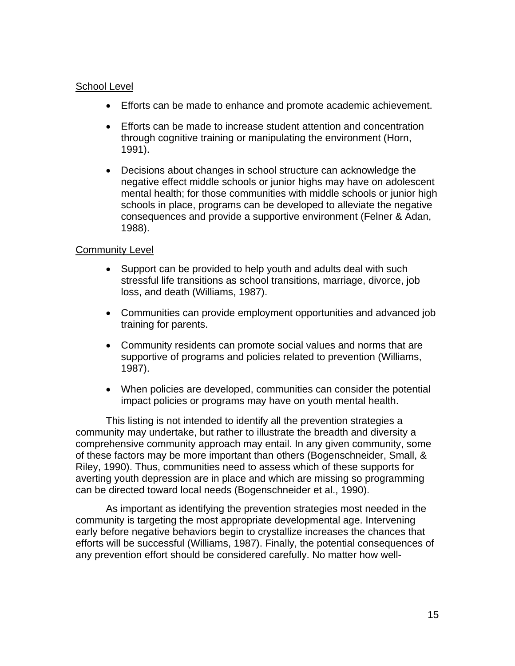### School Level

- Efforts can be made to enhance and promote academic achievement.
- Efforts can be made to increase student attention and concentration through cognitive training or manipulating the environment (Horn, 1991).
- Decisions about changes in school structure can acknowledge the negative effect middle schools or junior highs may have on adolescent mental health; for those communities with middle schools or junior high schools in place, programs can be developed to alleviate the negative consequences and provide a supportive environment (Felner & Adan, 1988).

## Community Level

- Support can be provided to help youth and adults deal with such stressful life transitions as school transitions, marriage, divorce, job loss, and death (Williams, 1987).
- Communities can provide employment opportunities and advanced job training for parents.
- Community residents can promote social values and norms that are supportive of programs and policies related to prevention (Williams, 1987).
- When policies are developed, communities can consider the potential impact policies or programs may have on youth mental health.

This listing is not intended to identify all the prevention strategies a community may undertake, but rather to illustrate the breadth and diversity a comprehensive community approach may entail. In any given community, some of these factors may be more important than others (Bogenschneider, Small, & Riley, 1990). Thus, communities need to assess which of these supports for averting youth depression are in place and which are missing so programming can be directed toward local needs (Bogenschneider et al., 1990).

As important as identifying the prevention strategies most needed in the community is targeting the most appropriate developmental age. Intervening early before negative behaviors begin to crystallize increases the chances that efforts will be successful (Williams, 1987). Finally, the potential consequences of any prevention effort should be considered carefully. No matter how well-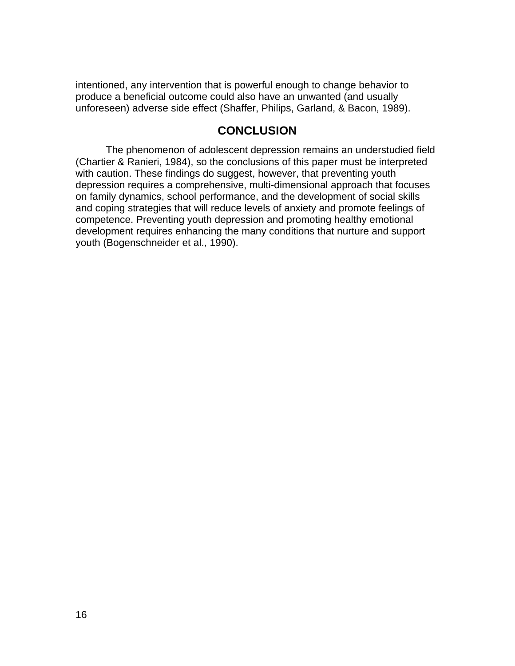intentioned, any intervention that is powerful enough to change behavior to produce a beneficial outcome could also have an unwanted (and usually unforeseen) adverse side effect (Shaffer, Philips, Garland, & Bacon, 1989).

## **CONCLUSION**

The phenomenon of adolescent depression remains an understudied field (Chartier & Ranieri, 1984), so the conclusions of this paper must be interpreted with caution. These findings do suggest, however, that preventing youth depression requires a comprehensive, multi-dimensional approach that focuses on family dynamics, school performance, and the development of social skills and coping strategies that will reduce levels of anxiety and promote feelings of competence. Preventing youth depression and promoting healthy emotional development requires enhancing the many conditions that nurture and support youth (Bogenschneider et al., 1990).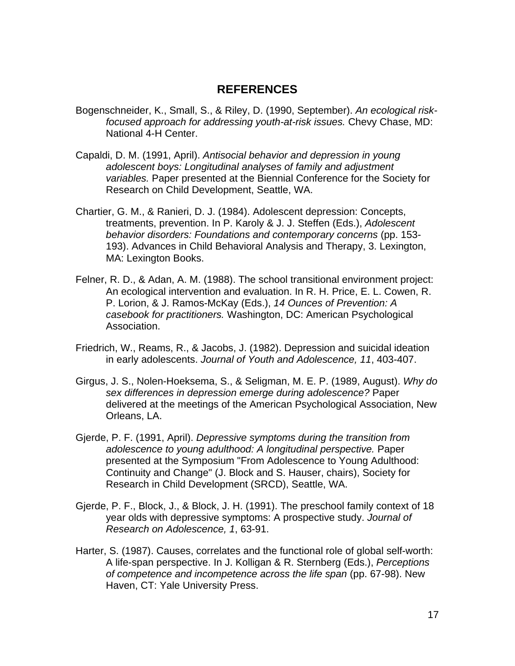## **REFERENCES**

- Bogenschneider, K., Small, S., & Riley, D. (1990, September). *An ecological riskfocused approach for addressing youth-at-risk issues.* Chevy Chase, MD: National 4-H Center.
- Capaldi, D. M. (1991, April). *Antisocial behavior and depression in young adolescent boys: Longitudinal analyses of family and adjustment variables.* Paper presented at the Biennial Conference for the Society for Research on Child Development, Seattle, WA.
- Chartier, G. M., & Ranieri, D. J. (1984). Adolescent depression: Concepts, treatments, prevention. In P. Karoly & J. J. Steffen (Eds.), *Adolescent behavior disorders: Foundations and contemporary concerns* (pp. 153- 193). Advances in Child Behavioral Analysis and Therapy, 3. Lexington, MA: Lexington Books.
- Felner, R. D., & Adan, A. M. (1988). The school transitional environment project: An ecological intervention and evaluation. In R. H. Price, E. L. Cowen, R. P. Lorion, & J. Ramos-McKay (Eds.), *14 Ounces of Prevention: A casebook for practitioners.* Washington, DC: American Psychological Association.
- Friedrich, W., Reams, R., & Jacobs, J. (1982). Depression and suicidal ideation in early adolescents. *Journal of Youth and Adolescence, 11*, 403-407.
- Girgus, J. S., Nolen-Hoeksema, S., & Seligman, M. E. P. (1989, August). *Why do sex differences in depression emerge during adolescence?* Paper delivered at the meetings of the American Psychological Association, New Orleans, LA.
- Gjerde, P. F. (1991, April). *Depressive symptoms during the transition from adolescence to young adulthood: A longitudinal perspective.* Paper presented at the Symposium "From Adolescence to Young Adulthood: Continuity and Change" (J. Block and S. Hauser, chairs), Society for Research in Child Development (SRCD), Seattle, WA.
- Gjerde, P. F., Block, J., & Block, J. H. (1991). The preschool family context of 18 year olds with depressive symptoms: A prospective study. *Journal of Research on Adolescence, 1*, 63-91.
- Harter, S. (1987). Causes, correlates and the functional role of global self-worth: A life-span perspective. In J. Kolligan & R. Sternberg (Eds.), *Perceptions of competence and incompetence across the life span* (pp. 67-98). New Haven, CT: Yale University Press.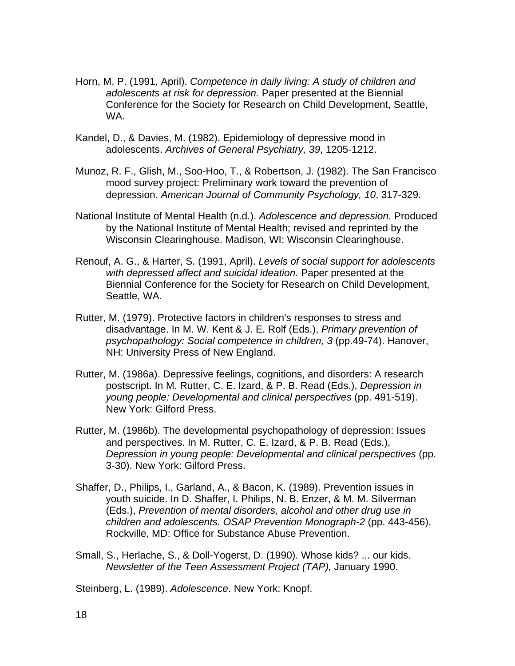- Horn, M. P. (1991, April). *Competence in daily living: A study of children and adolescents at risk for depression.* Paper presented at the Biennial Conference for the Society for Research on Child Development, Seattle, WA.
- Kandel, D., & Davies, M. (1982). Epidemiology of depressive mood in adolescents. *Archives of General Psychiatry, 39*, 1205-1212.
- Munoz, R. F., Glish, M., Soo-Hoo, T., & Robertson, J. (1982). The San Francisco mood survey project: Preliminary work toward the prevention of depression. *American Journal of Community Psychology, 10*, 317-329.
- National Institute of Mental Health (n.d.). *Adolescence and depression.* Produced by the National Institute of Mental Health; revised and reprinted by the Wisconsin Clearinghouse. Madison, WI: Wisconsin Clearinghouse.
- Renouf, A. G., & Harter, S. (1991, April). *Levels of social support for adolescents with depressed affect and suicidal ideation.* Paper presented at the Biennial Conference for the Society for Research on Child Development, Seattle, WA.
- Rutter, M. (1979). Protective factors in children's responses to stress and disadvantage. In M. W. Kent & J. E. Rolf (Eds.), *Primary prevention of psychopathology: Social competence in children, 3* (pp.49-74). Hanover, NH: University Press of New England.
- Rutter, M. (1986a). Depressive feelings, cognitions, and disorders: A research postscript. In M. Rutter, C. E. Izard, & P. B. Read (Eds.), *Depression in young people: Developmental and clinical perspectives* (pp. 491-519). New York: Gilford Press.
- Rutter, M. (1986b). The developmental psychopathology of depression: Issues and perspectives. In M. Rutter, C. E. Izard, & P. B. Read (Eds.), *Depression in young people: Developmental and clinical perspectives* (pp. 3-30). New York: Gilford Press.
- Shaffer, D., Philips, I., Garland, A., & Bacon, K. (1989). Prevention issues in youth suicide. In D. Shaffer, I. Philips, N. B. Enzer, & M. M. Silverman (Eds.), *Prevention of mental disorders, alcohol and other drug use in children and adolescents. OSAP Prevention Monograph-2* (pp. 443-456). Rockville, MD: Office for Substance Abuse Prevention.
- Small, S., Herlache, S., & Doll-Yogerst, D. (1990). Whose kids? ... our kids. *Newsletter of the Teen Assessment Project (TAP),* January 1990.

Steinberg, L. (1989). *Adolescence*. New York: Knopf.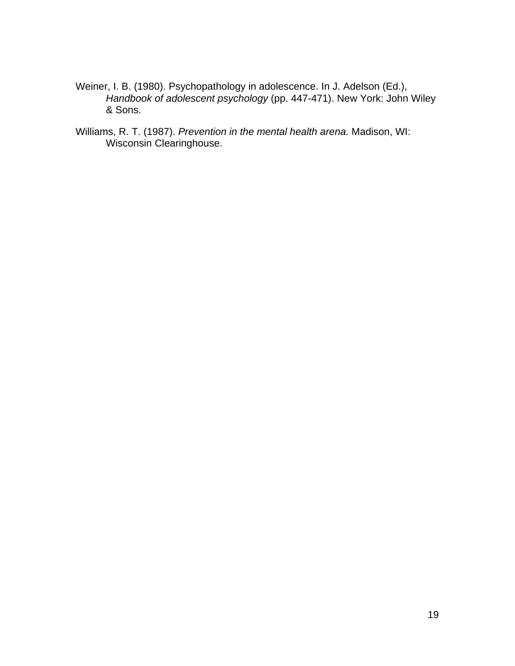- Weiner, I. B. (1980). Psychopathology in adolescence. In J. Adelson (Ed.), *Handbook of adolescent psychology* (pp. 447-471). New York: John Wiley & Sons.
- Williams, R. T. (1987). *Prevention in the mental health arena.* Madison, WI: Wisconsin Clearinghouse.